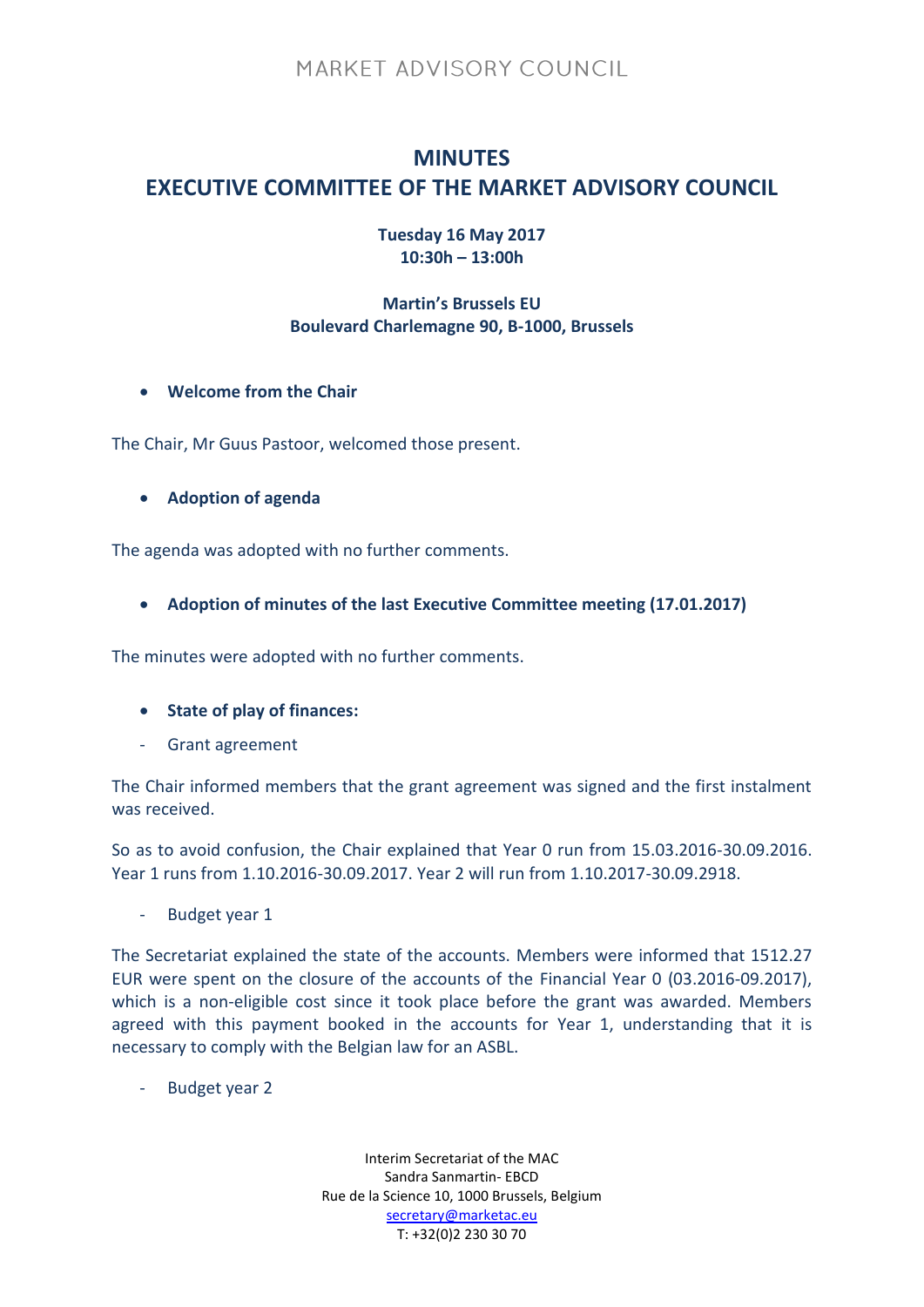## **MINUTES EXECUTIVE COMMITTEE OF THE MARKET ADVISORY COUNCIL**

**Tuesday 16 May 2017 10:30h – 13:00h**

### **Martin's Brussels EU Boulevard Charlemagne 90, B-1000, Brussels**

**Welcome from the Chair**

The Chair, Mr Guus Pastoor, welcomed those present.

**Adoption of agenda**

The agenda was adopted with no further comments.

**Adoption of minutes of the last Executive Committee meeting (17.01.2017)**

The minutes were adopted with no further comments.

- **State of play of finances:**
- Grant agreement

The Chair informed members that the grant agreement was signed and the first instalment was received.

So as to avoid confusion, the Chair explained that Year 0 run from 15.03.2016-30.09.2016. Year 1 runs from 1.10.2016-30.09.2017. Year 2 will run from 1.10.2017-30.09.2918.

Budget year 1

The Secretariat explained the state of the accounts. Members were informed that 1512.27 EUR were spent on the closure of the accounts of the Financial Year 0 (03.2016-09.2017), which is a non-eligible cost since it took place before the grant was awarded. Members agreed with this payment booked in the accounts for Year 1, understanding that it is necessary to comply with the Belgian law for an ASBL.

- Budget year 2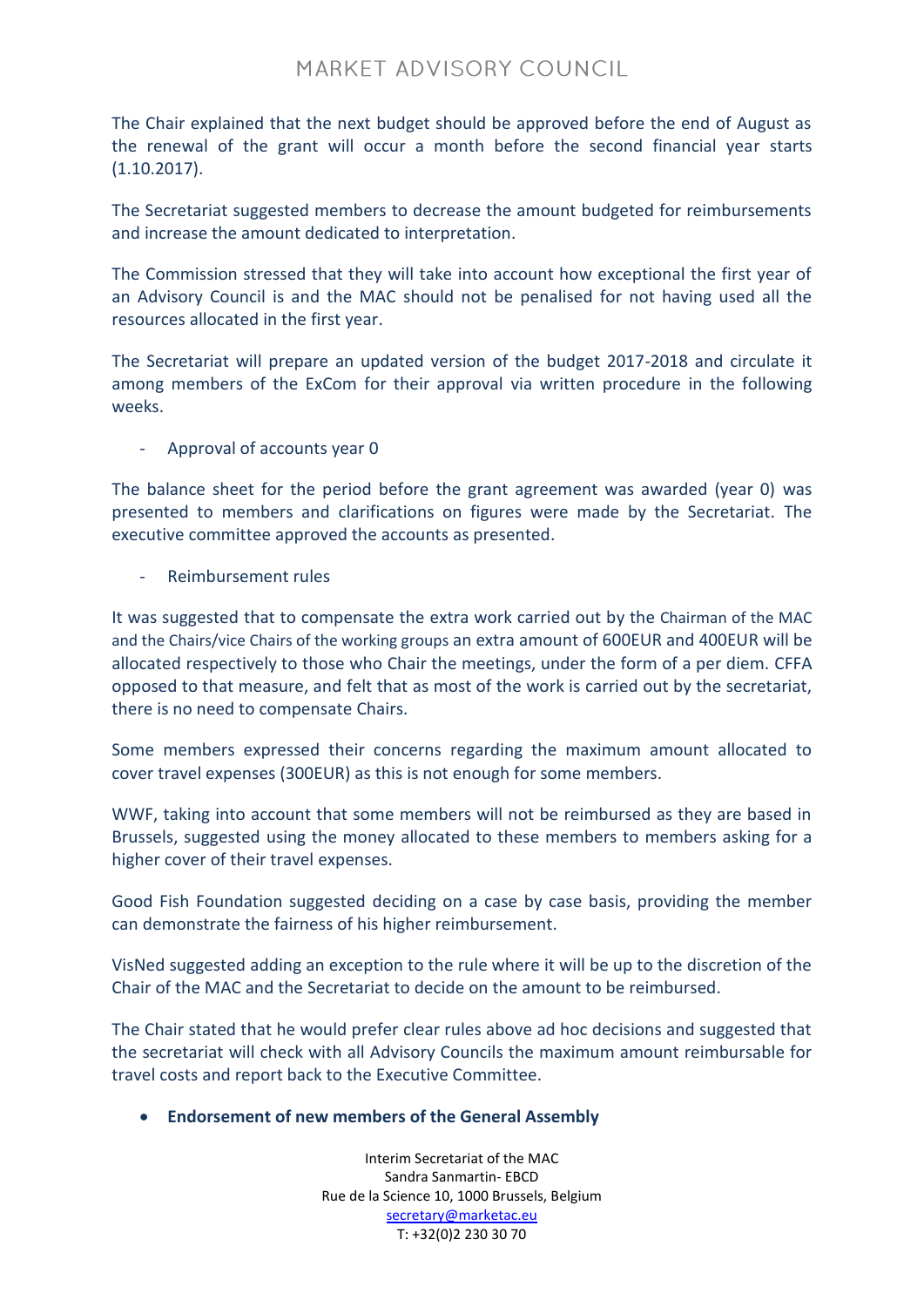The Chair explained that the next budget should be approved before the end of August as the renewal of the grant will occur a month before the second financial year starts (1.10.2017).

The Secretariat suggested members to decrease the amount budgeted for reimbursements and increase the amount dedicated to interpretation.

The Commission stressed that they will take into account how exceptional the first year of an Advisory Council is and the MAC should not be penalised for not having used all the resources allocated in the first year.

The Secretariat will prepare an updated version of the budget 2017-2018 and circulate it among members of the ExCom for their approval via written procedure in the following weeks.

Approval of accounts year 0

The balance sheet for the period before the grant agreement was awarded (year 0) was presented to members and clarifications on figures were made by the Secretariat. The executive committee approved the accounts as presented.

- Reimbursement rules

It was suggested that to compensate the extra work carried out by the Chairman of the MAC and the Chairs/vice Chairs of the working groups an extra amount of 600EUR and 400EUR will be allocated respectively to those who Chair the meetings, under the form of a per diem. CFFA opposed to that measure, and felt that as most of the work is carried out by the secretariat, there is no need to compensate Chairs.

Some members expressed their concerns regarding the maximum amount allocated to cover travel expenses (300EUR) as this is not enough for some members.

WWF, taking into account that some members will not be reimbursed as they are based in Brussels, suggested using the money allocated to these members to members asking for a higher cover of their travel expenses.

Good Fish Foundation suggested deciding on a case by case basis, providing the member can demonstrate the fairness of his higher reimbursement.

VisNed suggested adding an exception to the rule where it will be up to the discretion of the Chair of the MAC and the Secretariat to decide on the amount to be reimbursed.

The Chair stated that he would prefer clear rules above ad hoc decisions and suggested that the secretariat will check with all Advisory Councils the maximum amount reimbursable for travel costs and report back to the Executive Committee.

**Endorsement of new members of the General Assembly**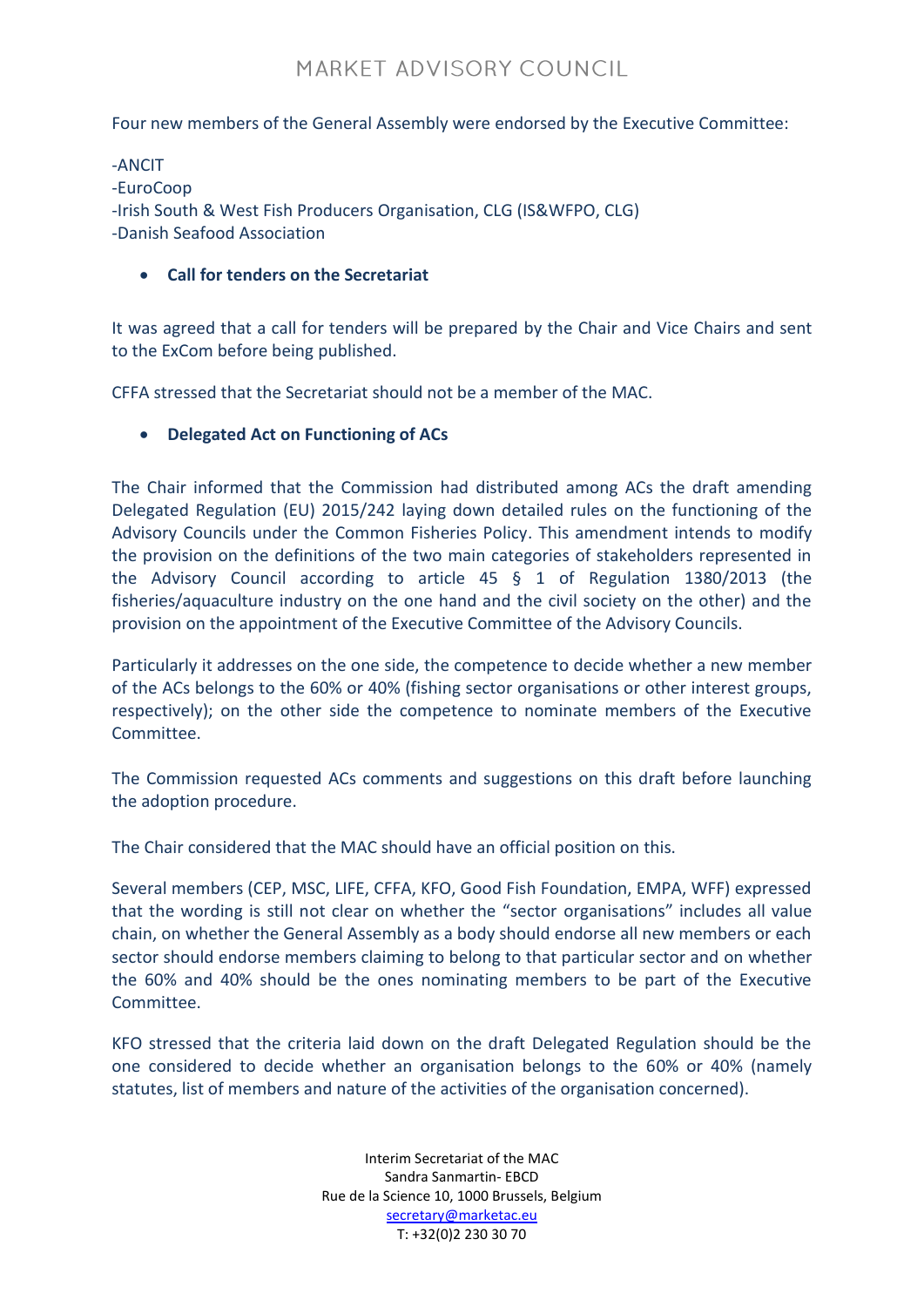Four new members of the General Assembly were endorsed by the Executive Committee:

-ANCIT -EuroCoop -Irish South & West Fish Producers Organisation, CLG (IS&WFPO, CLG) -Danish Seafood Association

#### **Call for tenders on the Secretariat**

It was agreed that a call for tenders will be prepared by the Chair and Vice Chairs and sent to the ExCom before being published.

CFFA stressed that the Secretariat should not be a member of the MAC.

#### **Delegated Act on Functioning of ACs**

The Chair informed that the Commission had distributed among ACs the draft amending Delegated Regulation (EU) 2015/242 laying down detailed rules on the functioning of the Advisory Councils under the Common Fisheries Policy. This amendment intends to modify the provision on the definitions of the two main categories of stakeholders represented in the Advisory Council according to article 45 § 1 of Regulation 1380/2013 (the fisheries/aquaculture industry on the one hand and the civil society on the other) and the provision on the appointment of the Executive Committee of the Advisory Councils.

Particularly it addresses on the one side, the competence to decide whether a new member of the ACs belongs to the 60% or 40% (fishing sector organisations or other interest groups, respectively); on the other side the competence to nominate members of the Executive Committee.

The Commission requested ACs comments and suggestions on this draft before launching the adoption procedure.

The Chair considered that the MAC should have an official position on this.

Several members (CEP, MSC, LIFE, CFFA, KFO, Good Fish Foundation, EMPA, WFF) expressed that the wording is still not clear on whether the "sector organisations" includes all value chain, on whether the General Assembly as a body should endorse all new members or each sector should endorse members claiming to belong to that particular sector and on whether the 60% and 40% should be the ones nominating members to be part of the Executive Committee.

KFO stressed that the criteria laid down on the draft Delegated Regulation should be the one considered to decide whether an organisation belongs to the 60% or 40% (namely statutes, list of members and nature of the activities of the organisation concerned).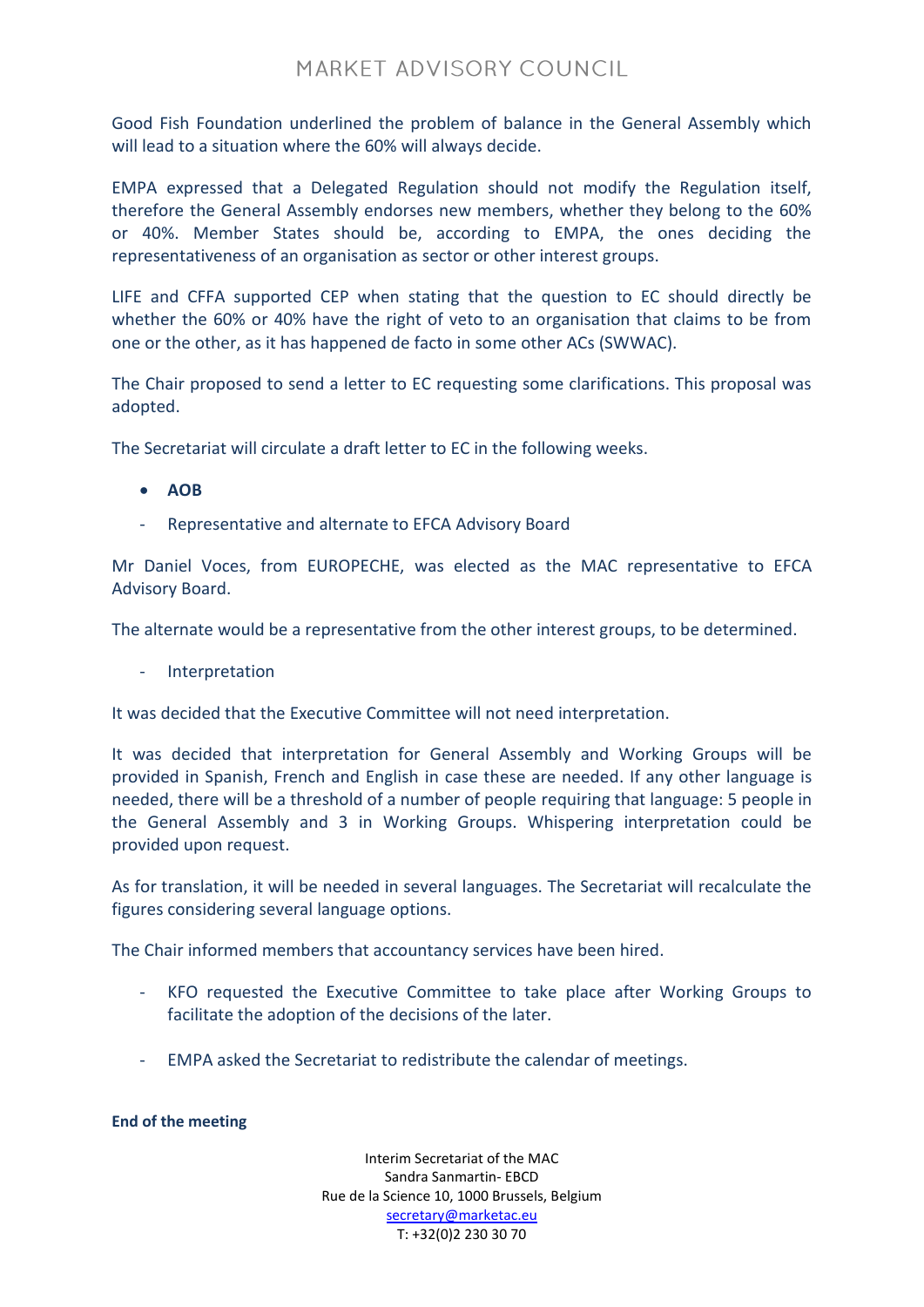Good Fish Foundation underlined the problem of balance in the General Assembly which will lead to a situation where the 60% will always decide.

EMPA expressed that a Delegated Regulation should not modify the Regulation itself, therefore the General Assembly endorses new members, whether they belong to the 60% or 40%. Member States should be, according to EMPA, the ones deciding the representativeness of an organisation as sector or other interest groups.

LIFE and CFFA supported CEP when stating that the question to EC should directly be whether the 60% or 40% have the right of veto to an organisation that claims to be from one or the other, as it has happened de facto in some other ACs (SWWAC).

The Chair proposed to send a letter to EC requesting some clarifications. This proposal was adopted.

The Secretariat will circulate a draft letter to EC in the following weeks.

- **AOB**
- Representative and alternate to EFCA Advisory Board

Mr Daniel Voces, from EUROPECHE, was elected as the MAC representative to EFCA Advisory Board.

The alternate would be a representative from the other interest groups, to be determined.

- Interpretation

It was decided that the Executive Committee will not need interpretation.

It was decided that interpretation for General Assembly and Working Groups will be provided in Spanish, French and English in case these are needed. If any other language is needed, there will be a threshold of a number of people requiring that language: 5 people in the General Assembly and 3 in Working Groups. Whispering interpretation could be provided upon request.

As for translation, it will be needed in several languages. The Secretariat will recalculate the figures considering several language options.

The Chair informed members that accountancy services have been hired.

- KFO requested the Executive Committee to take place after Working Groups to facilitate the adoption of the decisions of the later.
- EMPA asked the Secretariat to redistribute the calendar of meetings.

#### **End of the meeting**